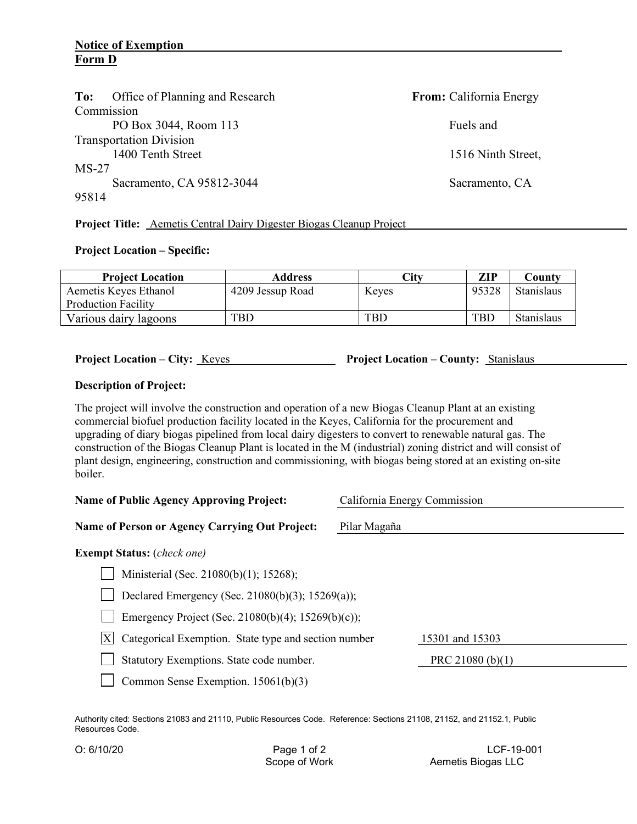## **Notice of Exemption Form D**

| Office of Planning and Research<br>To: | From: California Energy |
|----------------------------------------|-------------------------|
| Commission                             |                         |
| PO Box 3044, Room 113                  | Fuels and               |
| <b>Transportation Division</b>         |                         |
| 1400 Tenth Street                      | 1516 Ninth Street,      |
| $MS-27$                                |                         |
| Sacramento, CA 95812-3044              | Sacramento, CA          |
| 95814                                  |                         |
|                                        |                         |

**Project Title:** Aemetis Central Dairy Digester Biogas Cleanup Project

## **Project Location – Specific:**

| <b>Project Location</b>    | Address          | City       | <b>ZIP</b> | Countv            |
|----------------------------|------------------|------------|------------|-------------------|
| Aemetis Keyes Ethanol      | 4209 Jessup Road | Keyes      | 95328      | <b>Stanislaus</b> |
| <b>Production Facility</b> |                  |            |            |                   |
| Various dairy lagoons      | TBD              | <b>TBD</b> | <b>TBD</b> | Stanislaus        |

**Project Location – City:** Keyes **Project Location – County:** Stanislaus

## **Description of Project:**

The project will involve the construction and operation of a new Biogas Cleanup Plant at an existing commercial biofuel production facility located in the Keyes, California for the procurement and upgrading of diary biogas pipelined from local dairy digesters to convert to renewable natural gas. The construction of the Biogas Cleanup Plant is located in the M (industrial) zoning district and will consist of plant design, engineering, construction and commissioning, with biogas being stored at an existing on-site boiler.

| California Energy Commission<br><b>Name of Public Agency Approving Project:</b> |                  |  |  |
|---------------------------------------------------------------------------------|------------------|--|--|
| Name of Person or Agency Carrying Out Project:                                  | Pilar Magaña     |  |  |
| <b>Exempt Status:</b> ( <i>check one</i> )                                      |                  |  |  |
| Ministerial (Sec. 21080(b)(1); 15268);                                          |                  |  |  |
| Declared Emergency (Sec. 21080(b)(3); 15269(a));                                |                  |  |  |
| Emergency Project (Sec. 21080(b)(4); 15269(b)(c));                              |                  |  |  |
| Categorical Exemption. State type and section number<br>X                       | 15301 and 15303  |  |  |
| Statutory Exemptions. State code number.                                        | PRC 21080 (b)(1) |  |  |
| Common Sense Exemption. 15061(b)(3)                                             |                  |  |  |

Authority cited: Sections 21083 and 21110, Public Resources Code. Reference: Sections 21108, 21152, and 21152.1, Public Resources Code.

O: 6/10/20 **Page 1 of 2** LCF-19-001 **Page 1 of 2** LCF-19-001 **CCF-19-001** Aemetis Biogas LLC